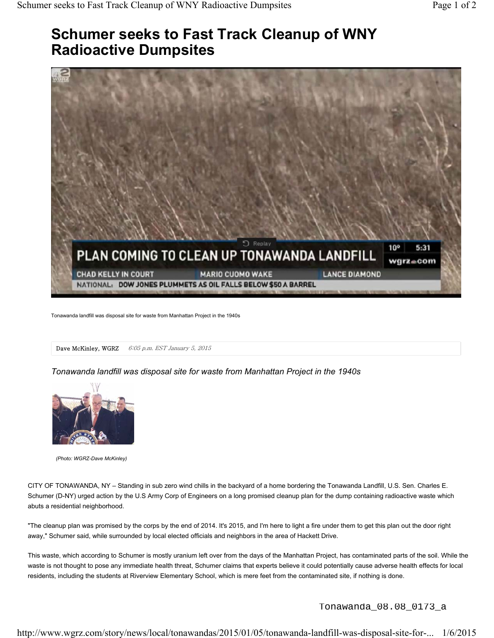## **Schumer seeks to Fast Track Cleanup of WNY Radioactive Dumpsites**



Tonawanda landfill was disposal site for waste from Manhattan Project in the 1940s

Dave McKinley, WGRZ 6:05 p.m. EST January 5, 2015

*Tonawanda landfill was disposal site for waste from Manhattan Project in the 1940s*



*(Photo: WGRZ-Dave McKinley)*

CITY OF TONAWANDA, NY – Standing in sub zero wind chills in the backyard of a home bordering the Tonawanda Landfill, U.S. Sen. Charles E. Schumer (D-NY) urged action by the U.S Army Corp of Engineers on a long promised cleanup plan for the dump containing radioactive waste which abuts a residential neighborhood.

"The cleanup plan was promised by the corps by the end of 2014. It's 2015, and I'm here to light a fire under them to get this plan out the door right away," Schumer said, while surrounded by local elected officials and neighbors in the area of Hackett Drive.

This waste, which according to Schumer is mostly uranium left over from the days of the Manhattan Project, has contaminated parts of the soil. While the waste is not thought to pose any immediate health threat, Schumer claims that experts believe it could potentially cause adverse health effects for local residents, including the students at Riverview Elementary School, which is mere feet from the contaminated site, if nothing is done.

Tonawanda\_08.08\_0173\_a